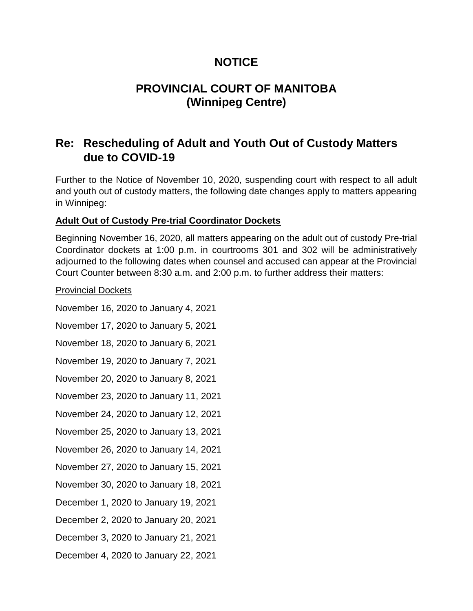## **NOTICE**

# **PROVINCIAL COURT OF MANITOBA (Winnipeg Centre)**

# **Re: Rescheduling of Adult and Youth Out of Custody Matters due to COVID-19**

Further to the Notice of November 10, 2020, suspending court with respect to all adult and youth out of custody matters, the following date changes apply to matters appearing in Winnipeg:

### **Adult Out of Custody Pre-trial Coordinator Dockets**

Beginning November 16, 2020, all matters appearing on the adult out of custody Pre-trial Coordinator dockets at 1:00 p.m. in courtrooms 301 and 302 will be administratively adjourned to the following dates when counsel and accused can appear at the Provincial Court Counter between 8:30 a.m. and 2:00 p.m. to further address their matters:

#### Provincial Dockets

- November 16, 2020 to January 4, 2021
- November 17, 2020 to January 5, 2021
- November 18, 2020 to January 6, 2021
- November 19, 2020 to January 7, 2021
- November 20, 2020 to January 8, 2021
- November 23, 2020 to January 11, 2021
- November 24, 2020 to January 12, 2021
- November 25, 2020 to January 13, 2021
- November 26, 2020 to January 14, 2021
- November 27, 2020 to January 15, 2021
- November 30, 2020 to January 18, 2021
- December 1, 2020 to January 19, 2021
- December 2, 2020 to January 20, 2021
- December 3, 2020 to January 21, 2021
- December 4, 2020 to January 22, 2021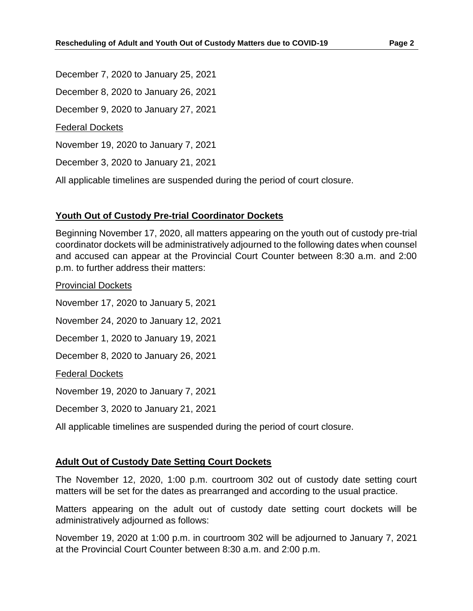December 7, 2020 to January 25, 2021 December 8, 2020 to January 26, 2021 December 9, 2020 to January 27, 2021 Federal Dockets November 19, 2020 to January 7, 2021 December 3, 2020 to January 21, 2021

All applicable timelines are suspended during the period of court closure.

## **Youth Out of Custody Pre-trial Coordinator Dockets**

Beginning November 17, 2020, all matters appearing on the youth out of custody pre-trial coordinator dockets will be administratively adjourned to the following dates when counsel and accused can appear at the Provincial Court Counter between 8:30 a.m. and 2:00 p.m. to further address their matters:

Provincial Dockets November 17, 2020 to January 5, 2021 November 24, 2020 to January 12, 2021 December 1, 2020 to January 19, 2021 December 8, 2020 to January 26, 2021 Federal Dockets November 19, 2020 to January 7, 2021 December 3, 2020 to January 21, 2021

All applicable timelines are suspended during the period of court closure.

#### **Adult Out of Custody Date Setting Court Dockets**

The November 12, 2020, 1:00 p.m. courtroom 302 out of custody date setting court matters will be set for the dates as prearranged and according to the usual practice.

Matters appearing on the adult out of custody date setting court dockets will be administratively adjourned as follows:

November 19, 2020 at 1:00 p.m. in courtroom 302 will be adjourned to January 7, 2021 at the Provincial Court Counter between 8:30 a.m. and 2:00 p.m.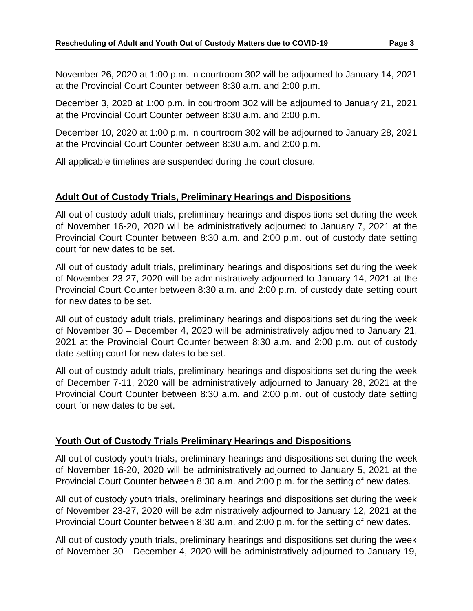November 26, 2020 at 1:00 p.m. in courtroom 302 will be adjourned to January 14, 2021 at the Provincial Court Counter between 8:30 a.m. and 2:00 p.m.

December 3, 2020 at 1:00 p.m. in courtroom 302 will be adjourned to January 21, 2021 at the Provincial Court Counter between 8:30 a.m. and 2:00 p.m.

December 10, 2020 at 1:00 p.m. in courtroom 302 will be adjourned to January 28, 2021 at the Provincial Court Counter between 8:30 a.m. and 2:00 p.m.

All applicable timelines are suspended during the court closure.

#### **Adult Out of Custody Trials, Preliminary Hearings and Dispositions**

All out of custody adult trials, preliminary hearings and dispositions set during the week of November 16-20, 2020 will be administratively adjourned to January 7, 2021 at the Provincial Court Counter between 8:30 a.m. and 2:00 p.m. out of custody date setting court for new dates to be set.

All out of custody adult trials, preliminary hearings and dispositions set during the week of November 23-27, 2020 will be administratively adjourned to January 14, 2021 at the Provincial Court Counter between 8:30 a.m. and 2:00 p.m. of custody date setting court for new dates to be set.

All out of custody adult trials, preliminary hearings and dispositions set during the week of November 30 – December 4, 2020 will be administratively adjourned to January 21, 2021 at the Provincial Court Counter between 8:30 a.m. and 2:00 p.m. out of custody date setting court for new dates to be set.

All out of custody adult trials, preliminary hearings and dispositions set during the week of December 7-11, 2020 will be administratively adjourned to January 28, 2021 at the Provincial Court Counter between 8:30 a.m. and 2:00 p.m. out of custody date setting court for new dates to be set.

#### **Youth Out of Custody Trials Preliminary Hearings and Dispositions**

All out of custody youth trials, preliminary hearings and dispositions set during the week of November 16-20, 2020 will be administratively adjourned to January 5, 2021 at the Provincial Court Counter between 8:30 a.m. and 2:00 p.m. for the setting of new dates.

All out of custody youth trials, preliminary hearings and dispositions set during the week of November 23-27, 2020 will be administratively adjourned to January 12, 2021 at the Provincial Court Counter between 8:30 a.m. and 2:00 p.m. for the setting of new dates.

All out of custody youth trials, preliminary hearings and dispositions set during the week of November 30 - December 4, 2020 will be administratively adjourned to January 19,